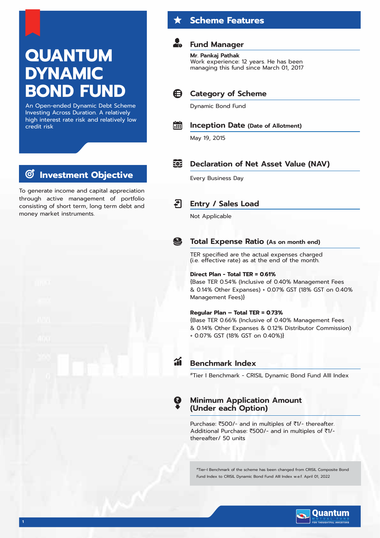# **QUANTUM DYNAMIC BOND FUND**

An Open-ended Dynamic Debt Scheme Investing Across Duration. A relatively high interest rate risk and relatively low credit risk

#### **Investment Objective**  $\bm{C}$

To generate income and capital appreciation through active management of portfolio consisting of short term, long term debt and money market instruments.

# **Scheme Features**

# **Fund Manager**

### **Mr. Pankaj Pathak**

Work experience: 12 years. He has been managing this fund since March 01, 2017



# Dynamic Bond Fund



## **Inception Date (Date of Allotment)**

May 19, 2015

#### **ROP Declaration of Net Asset Value (NAV)**

Every Business Day

#### ₹ **Entry / Sales Load**

Not Applicable

# **Total Expense Ratio (As on month end)**

TER specified are the actual expenses charged (i.e. effective rate) as at the end of the month.

### **Direct Plan - Total TER = 0.61%**

{Base TER 0.54% (Inclusive of 0.40% Management Fees & 0.14% Other Expanses) + 0.07% GST (18% GST on 0.40% Management Fees)}

#### **Regular Plan – Total TER = 0.73%**

{Base TER 0.66% (Inclusive of 0.40% Management Fees & 0.14% Other Expanses & 0.12% Distributor Commission) + 0.07% GST (18% GST on 0.40%)}

S

### **Benchmark Index**

#Tier I Benchmark - CRISIL Dynamic Bond Fund AIII Index

### **Minimum Application Amount (Under each Option)**

Purchase: ₹500/- and in multiples of ₹1/- thereafter. Additional Purchase: ₹500/- and in multiples of ₹1/thereafter/ 50 units

#Tier-I Benchmark of the scheme has been changed from CRISIL Composite Bond Fund Index to CRISIL Dynamic Bond Fund AIII Index w.e.f. April 01, 2022

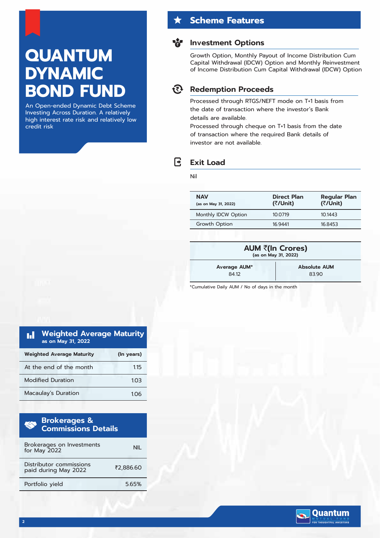# **QUANTUM DYNAMIC BOND FUND**

An Open-ended Dynamic Debt Scheme Investing Across Duration. A relatively high interest rate risk and relatively low credit risk

# **Scheme Features**

### **Investment Options**

Growth Option, Monthly Payout of Income Distribution Cum Capital Withdrawal (IDCW) Option and Monthly Reinvestment of Income Distribution Cum Capital Withdrawal (IDCW) Option

#### रिरे **Redemption Proceeds**

Processed through RTGS/NEFT mode on T+1 basis from the date of transaction where the investor's Bank details are available.

Processed through cheque on T+1 basis from the date of transaction where the required Bank details of investor are not available.

# **Exit Load**

Nil

R

| <b>NAV</b><br>(as on May 31, 2022) | <b>Direct Plan</b><br>(₹/Unit) | <b>Regular Plan</b><br>(₹/Unit) |
|------------------------------------|--------------------------------|---------------------------------|
| Monthly IDCW Option                | 10.0719                        | 101443                          |
| Growth Option                      | 16 9441                        | 168453                          |
|                                    |                                |                                 |

| AUM ₹(In Crores)<br>(as on May 31, 2022) |      |  |  |  |
|------------------------------------------|------|--|--|--|
| <b>Absolute AUM</b><br>Average AUM*      |      |  |  |  |
| 8412                                     | 8390 |  |  |  |

\*Cumulative Daily AUM / No of days in the month

| <b>Weighted Average Maturity</b><br>n I<br>as on May 31, 2022 |            |
|---------------------------------------------------------------|------------|
| <b>Weighted Average Maturity</b>                              | (In years) |
| At the end of the month                                       | 1.15       |
| <b>Modified Duration</b>                                      | 103        |
| Macaulay's Duration                                           | 106        |

| <b>Brokerages &amp; Accept</b><br><b>Commissions Details</b><br>m |           |  |  |  |  |  |
|-------------------------------------------------------------------|-----------|--|--|--|--|--|
| Brokerages on Investments<br>for May 2022                         |           |  |  |  |  |  |
| Distributor commissions<br>paid during May 2022                   | ₹2.886.60 |  |  |  |  |  |
| Portfolio vield                                                   | 565%      |  |  |  |  |  |

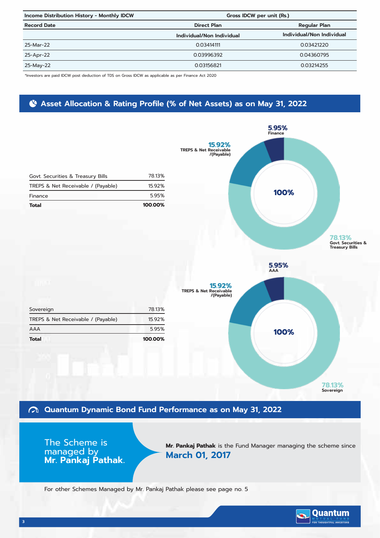| Income Distribution History - Monthly IDCW | Gross IDCW per unit (Rs.) |                           |  |
|--------------------------------------------|---------------------------|---------------------------|--|
| <b>Record Date</b>                         | <b>Direct Plan</b>        | <b>Regular Plan</b>       |  |
|                                            | Individual/Non Individual | Individual/Non Individual |  |
| 25-Mar-22                                  | 0.03414111                | 0.03421220                |  |
| 25-Apr-22                                  | 0.03996392                | 0.04360795                |  |
| 25-May-22                                  | 0.03156821                | 0.03214255                |  |

\*Investors are paid IDCW post deduction of TDS on Gross IDCW as applicable as per Finance Act 2020

# **Asset Allocation & Rating Profile (% of Net Assets) as on May 31, 2022**



# **Quantum Dynamic Bond Fund Performance as on May 31, 2022**

The Scheme is managed by **Mr. Pankaj Pathak.**

**Mr. Pankaj Pathak** is the Fund Manager managing the scheme since **March 01, 2017**

For other Schemes Managed by Mr. Pankaj Pathak please see page no. 5

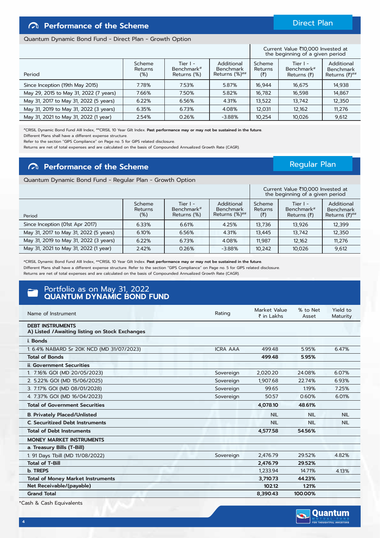**4**

# **Performance of the Scheme**

#### Quantum Dynamic Bond Fund - Direct Plan - Growth Option

|                                        |                             |                                         |                                                          |                          | Current Value ₹10,000 Invested at<br>the beginning of a given period |                                                      |
|----------------------------------------|-----------------------------|-----------------------------------------|----------------------------------------------------------|--------------------------|----------------------------------------------------------------------|------------------------------------------------------|
| Period                                 | Scheme<br>Returns<br>$(\%)$ | Tier $I -$<br>Benchmark#<br>Returns (%) | Additional<br><b>Benchmark</b><br>Returns $(\%)^{\# \#}$ | Scheme<br>Returns<br>(₹) | Tier $I -$<br>Benchmark#<br>Returns $(\bar{z})$                      | Additional<br><b>Benchmark</b><br>Returns $(7)^{#H}$ |
| Since Inception (19th May 2015)        | 7.78%                       | 7.53%                                   | 5.87%                                                    | 16.944                   | 16,675                                                               | 14,938                                               |
| May 29, 2015 to May 31, 2022 (7 years) | 7.66%                       | 7.50%                                   | 5.82%                                                    | 16,782                   | 16,598                                                               | 14,867                                               |
| May 31, 2017 to May 31, 2022 (5 years) | 6.22%                       | 6.56%                                   | 4.31%                                                    | 13,522                   | 13,742                                                               | 12,350                                               |
| May 31, 2019 to May 31, 2022 (3 years) | 6.35%                       | 6.73%                                   | 4.08%                                                    | 12,031                   | 12,162                                                               | 11.276                                               |
| May 31, 2021 to May 31, 2022 (1 year)  | 2.54%                       | 0.26%                                   | $-3.88%$                                                 | 10,254                   | 10,026                                                               | 9,612                                                |

#CRISIL Dynamic Bond Fund AIII Index, ##CRISIL 10 Year Gilt Index. **Past performance may or may not be sustained in the future.** Different Plans shall have a different expense structure.

Refer to the section "GIPS Compliance" on Page no. 5 for GIPS related disclosure.

Returns are net of total expenses and are calculated on the basis of Compounded Annualized Growth Rate (CAGR).

# **Performance of the Scheme**

#### Quantum Dynamic Bond Fund - Regular Plan - Growth Option

|                                        |                                    |                                         |                                                       |                          | Current Value ₹10,000 Invested at<br>the beginning of a given period |                                                      |
|----------------------------------------|------------------------------------|-----------------------------------------|-------------------------------------------------------|--------------------------|----------------------------------------------------------------------|------------------------------------------------------|
| Period                                 | Scheme<br><b>Returns</b><br>$(\%)$ | Tier $I -$<br>Benchmark#<br>Returns (%) | Additional<br><b>Benchmark</b><br>Returns $(\%)^{\#}$ | Scheme<br>Returns<br>(5) | Tier $I -$<br>Benchmark <sup>#</sup><br>Returns $(₹)$                | Additional<br><b>Benchmark</b><br>Returns $(7)^{#H}$ |
| Since Inception (01st Apr 2017)        | 6.33%                              | 6.61%                                   | 4.25%                                                 | 13,736                   | 13,926                                                               | 12,399                                               |
| May 31, 2017 to May 31, 2022 (5 years) | 6.10%                              | 6.56%                                   | 4.31%                                                 | 13.445                   | 13,742                                                               | 12.350                                               |
| May 31, 2019 to May 31, 2022 (3 years) | 6.22%                              | 6.73%                                   | 4.08%                                                 | 11.987                   | 12,162                                                               | 11.276                                               |
| May 31, 2021 to May 31, 2022 (1 year)  | 2.42%                              | 0.26%                                   | $-3.88%$                                              | 10,242                   | 10,026                                                               | 9,612                                                |

#CRISIL Dynamic Bond Fund AIII Index, ##CRISIL 10 Year Gilt Index. **Past performance may or may not be sustained in the future.** Different Plans shall have a different expense structure. Refer to the section "GIPS Compliance" on Page no. 5 for GIPS related disclosure. Returns are net of total expenses and are calculated on the basis of Compounded Annualized Growth Rate (CAGR).

### Portfolio as on May 31, 2022 **QUANTUM DYNAMIC BOND FUND**

| Name of Instrument                                                         | Rating          | Market Value<br>$\bar{\bar{\tau}}$ in Lakhs | % to Net<br>Asset | Yield to<br>Maturity |
|----------------------------------------------------------------------------|-----------------|---------------------------------------------|-------------------|----------------------|
| <b>DEBT INSTRUMENTS</b><br>A) Listed / Awaiting listing on Stock Exchanges |                 |                                             |                   |                      |
| i. Bonds                                                                   |                 |                                             |                   |                      |
| 1.6.4% NABARD Sr 20K NCD (MD 31/07/2023)                                   | <b>ICRA AAA</b> | 499.48                                      | 5.95%             | 6.47%                |
| <b>Total of Bonds</b>                                                      |                 | 499.48                                      | 5.95%             |                      |
| <b>ii. Government Securities</b>                                           |                 |                                             |                   |                      |
| 1. 7.16% GOI (MD 20/05/2023)                                               | Sovereign       | 2,020.20                                    | 24.08%            | 6.07%                |
| 2. 5.22% GOI (MD 15/06/2025)                                               | Sovereign       | 1.907.68                                    | 22.74%            | 6.93%                |
| 3. 7.17% GOI (MD 08/01/2028)                                               | Sovereign       | 99.65                                       | 1.19%             | 7.25%                |
| 4. 7.37% GOI (MD 16/04/2023)                                               | Sovereign       | 50.57                                       | 0.60%             | 6.01%                |
| <b>Total of Government Securities</b>                                      |                 | 4,078.10                                    | 48.61%            |                      |
| <b>B. Privately Placed/Unlisted</b>                                        |                 | <b>NIL</b>                                  | <b>NIL</b>        | <b>NIL</b>           |
| <b>C. Securitized Debt Instruments</b>                                     |                 | <b>NIL</b>                                  | <b>NIL</b>        | <b>NIL</b>           |
| <b>Total of Debt Instruments</b>                                           |                 | 4.577.58                                    | 54.56%            |                      |
| <b>MONEY MARKET INSTRUMENTS</b>                                            |                 |                                             |                   |                      |
| a. Treasury Bills (T-Bill)                                                 |                 |                                             |                   |                      |
| 1. 91 Days Tbill (MD 11/08/2022)                                           | Sovereign       | 2,476.79                                    | 29.52%            | 4.82%                |
| <b>Total of T-Bill</b>                                                     |                 | 2.476.79                                    | 29.52%            |                      |
| b. TREPS                                                                   |                 | 1,233.94                                    | 14.71%            | 4.13%                |
| <b>Total of Money Market Instruments</b>                                   |                 | 3,710.73                                    | 44.23%            |                      |
| Net Receivable/(payable)                                                   |                 | 102.12                                      | 1.21%             |                      |
| <b>Grand Total</b>                                                         |                 | 8,390.43                                    | 100.00%           |                      |

### Direct Plan

Regular Plan